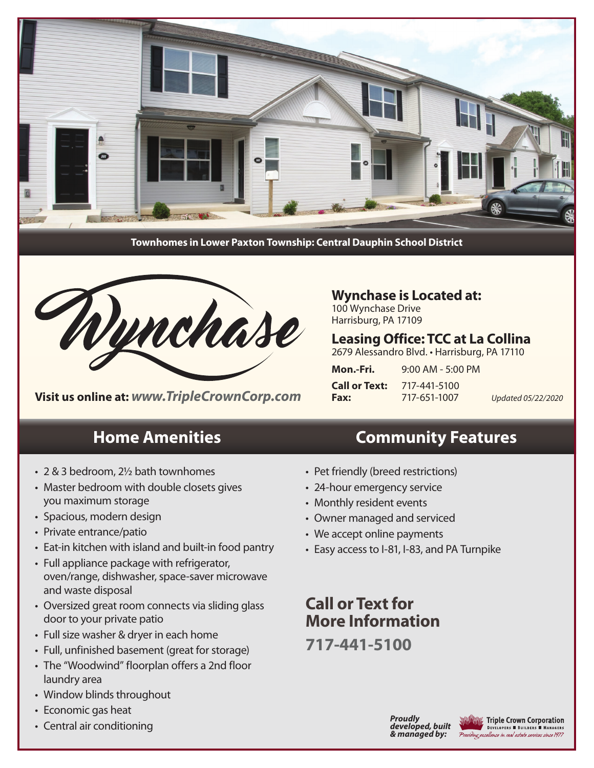

**Townhomes in Lower Paxton Township: Central Dauphin School District** 



**Visit us online at:** *www.TripleCrownCorp.com*

# **Wynchase is Located at:**

100 Wynchase Drive Harrisburg, PA 17109

**Leasing Office: TCC at La Collina** 2679 Alessandro Blvd. • Harrisburg, PA 17110

| Mon.-Fri.                           | $9:00$ AM - 5:00 PM          |                    |
|-------------------------------------|------------------------------|--------------------|
| <b>Call or Text:</b><br><b>Fax:</b> | 717-441-5100<br>717-651-1007 | Updated 05/22/2020 |
|                                     |                              |                    |

- 2 & 3 bedroom, 2½ bath townhomes
- Master bedroom with double closets gives you maximum storage
- Spacious, modern design
- Private entrance/patio
- Eat-in kitchen with island and built-in food pantry
- Full appliance package with refrigerator, oven/range, dishwasher, space-saver microwave and waste disposal
- Oversized great room connects via sliding glass door to your private patio
- Full size washer & dryer in each home
- Full, unfinished basement (great for storage)
- The "Woodwind" floorplan offers a 2nd floor laundry area
- Window blinds throughout
- Economic gas heat
- Central air conditioning

# **Home Amenities Community Features**

- Pet friendly (breed restrictions)
- 24-hour emergency service
- Monthly resident events
- Owner managed and serviced
- We accept online payments
- Easy access to I-81, I-83, and PA Turnpike

# **Call or Text for More Information**

**717-441-5100**



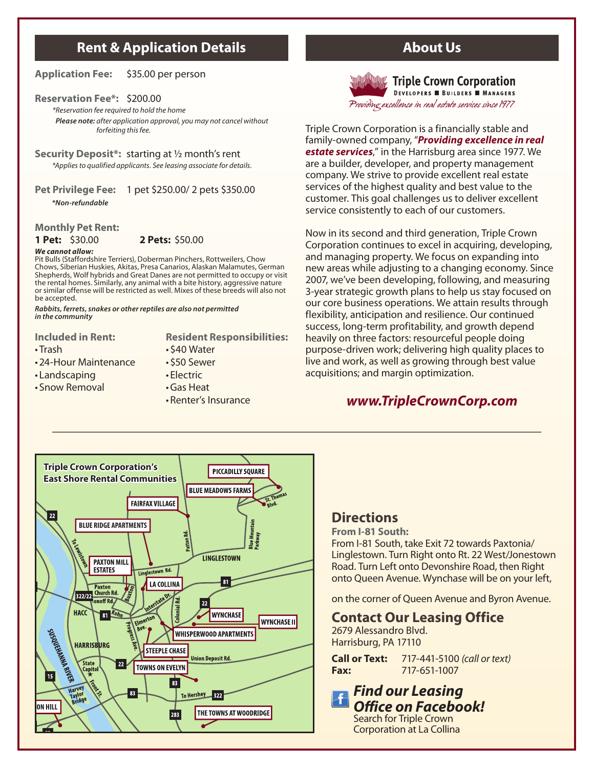# **Rent & Application Details About Us**

#### **Application Fee:** \$35.00 per person

#### **Reservation Fee\*:** \$200.00

*\*Reservation fee required to hold the home Please note: after application approval, you may not cancel without forfeiting this fee.*

**Security Deposit\*:** starting at ½ month's rent  *\*Applies to qualified applicants. See leasing associate for details.* 

**Pet Privilege Fee:** 1 pet \$250.00/ 2 pets \$350.00  *\*Non-refundable*

#### **Monthly Pet Rent:**

**1 Pet:** \$30.00 **2 Pets:** \$50.00

#### *We cannot allow:*

Pit Bulls (Staffordshire Terriers), Doberman Pinchers, Rottweilers, Chow Chows, Siberian Huskies, Akitas, Presa Canarios, Alaskan Malamutes, German Shepherds, Wolf hybrids and Great Danes are not permitted to occupy or visit the rental homes. Similarly, any animal with a bite history, aggressive nature or similar offense will be restricted as well. Mixes of these breeds will also not

*Rabbits, ferrets, snakes or other reptiles are also not permitted in the community*

#### **Included in Rent:**

• Trash

be accepted.

- **Resident Responsibilities:** •\$40 Water
- 

• Snow Removal

- •24-Hour Maintenance • Landscaping
- Electric

•\$50 Sewer

- •Gas Heat
	- •Renter's Insurance



### **WANKING Triple Crown Corporation DEVELOPERS BUILDERS MANAGERS**

Providing excellence in real estate services since 1977

Triple Crown Corporation is a financially stable and family-owned company, "*Providing excellence in real estate services*," in the Harrisburg area since 1977. We are a builder, developer, and property management company. We strive to provide excellent real estate services of the highest quality and best value to the customer. This goal challenges us to deliver excellent service consistently to each of our customers.

Now in its second and third generation, Triple Crown Corporation continues to excel in acquiring, developing, and managing property. We focus on expanding into new areas while adjusting to a changing economy. Since 2007, we've been developing, following, and measuring 3-year strategic growth plans to help us stay focused on our core business operations. We attain results through flexibility, anticipation and resilience. Our continued success, long-term profitability, and growth depend heavily on three factors: resourceful people doing purpose-driven work; delivering high quality places to live and work, as well as growing through best value acquisitions; and margin optimization.

### *www.TripleCrownCorp.com*



## **Directions**

**From I-81 South:**  From I-81 South, take Exit 72 towards Paxtonia/ Linglestown. Turn Right onto Rt. 22 West/Jonestown Road. Turn Left onto Devonshire Road, then Right onto Queen Avenue. Wynchase will be on your left,

on the corner of Queen Avenue and Byron Avenue.

#### **Contact Our Leasing Office** 2679 Alessandro Blvd.

Harrisburg, PA 17110

**Call or Text:** 717-441-5100 *(call or text)* **Fax:** 717-651-1007

*Find our Leasing Office on Facebook!* Search for Triple Crown Corporation at La Collina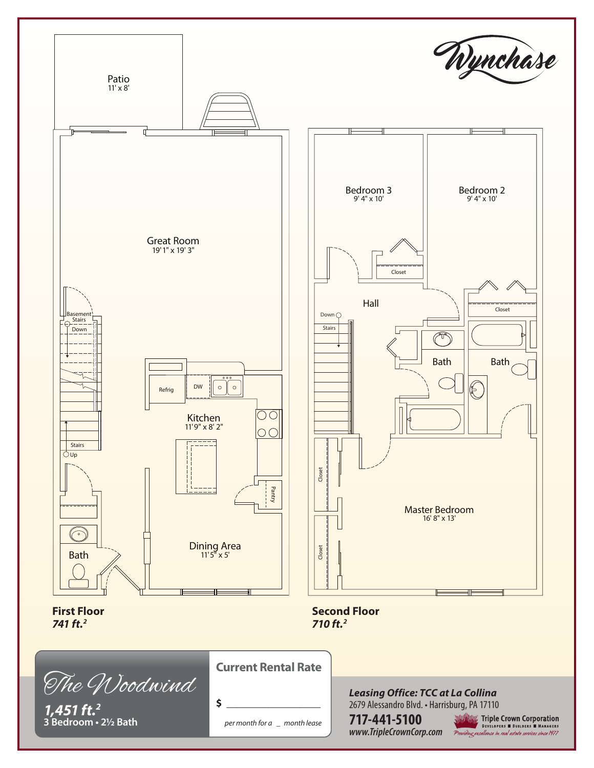